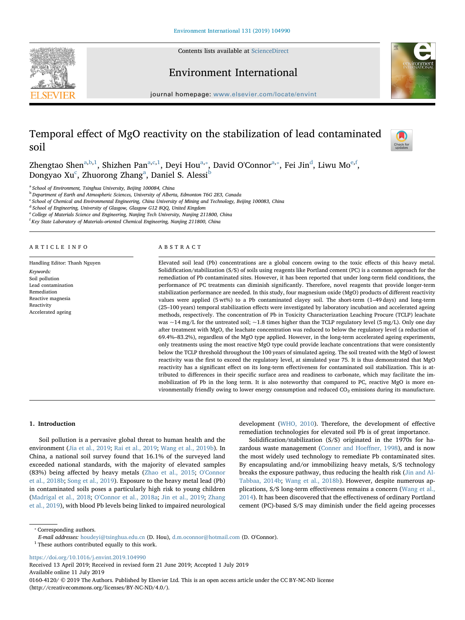Contents lists available at [ScienceDirect](http://www.sciencedirect.com/science/journal/01604120)







journal homepage: [www.elsevier.com/locate/envint](https://www.elsevier.com/locate/envint)

# Temporal effect of MgO reactivity on the stabilization of lead contaminated soil



Zhengt[a](#page-0-0)o Shen $^{\rm a,b,1}$  $^{\rm a,b,1}$  $^{\rm a,b,1}$  $^{\rm a,b,1}$ , Shizhen Pan $^{\rm a,c,1}$  $^{\rm a,c,1}$  $^{\rm a,c,1}$ , Deyi Hou $^{\rm a, *}$  $^{\rm a, *}$  $^{\rm a, *}$ , Davi[d](#page-0-5) O'Connor $^{\rm a, *}$ , Fei Jin $^{\rm d}$ , Liwu Mo $^{\rm e, f}$ , Dongyao Xu<sup>[c](#page-0-3)</sup>, Zhuorong Zh[a](#page-0-0)ng<sup>a</sup>, Daniel S. Alessi<sup>[b](#page-0-1)</sup>

<span id="page-0-0"></span><sup>a</sup> School of Environment, Tsinghua University, Beijing 100084, China

<span id="page-0-1"></span><sup>b</sup> Department of Earth and Atmospheric Sciences, University of Alberta, Edmonton T6G 2E3, Canada

<span id="page-0-3"></span><sup>c</sup> School of Chemical and Environmental Engineering, China University of Mining and Technology, Beijing 100083, China

<span id="page-0-5"></span><sup>d</sup> School of Engineering, University of Glasgow, Glasgow G12 8QQ, United Kingdom

<span id="page-0-6"></span>College of Materials Science and Engineering, Nanjing Tech University, Nanjing 211800, China

<span id="page-0-7"></span><sup>f</sup> Key State Laboratory of Materials-oriented Chemical Engineering, Nanjing 211800, China

#### ARTICLE INFO

Handling Editor: Thanh Nguyen Keywords: Soil pollution Lead contamination Remediation Reactive magnesia Reactivity Accelerated ageing

#### ABSTRACT

Elevated soil lead (Pb) concentrations are a global concern owing to the toxic effects of this heavy metal. Solidification/stabilization (S/S) of soils using reagents like Portland cement (PC) is a common approach for the remediation of Pb contaminated sites. However, it has been reported that under long-term field conditions, the performance of PC treatments can diminish significantly. Therefore, novel reagents that provide longer-term stabilization performance are needed. In this study, four magnesium oxide (MgO) products of different reactivity values were applied (5 wt%) to a Pb contaminated clayey soil. The short-term (1–49 days) and long-term (25–100 years) temporal stabilization effects were investigated by laboratory incubation and accelerated ageing methods, respectively. The concentration of Pb in Toxicity Characterization Leaching Procure (TCLP) leachate was  $\sim$ 14 mg/L for the untreated soil;  $\sim$ 1.8 times higher than the TCLP regulatory level (5 mg/L). Only one day after treatment with MgO, the leachate concentration was reduced to below the regulatory level (a reduction of 69.4%–83.2%), regardless of the MgO type applied. However, in the long-term accelerated ageing experiments, only treatments using the most reactive MgO type could provide leachate concentrations that were consistently below the TCLP threshold throughout the 100 years of simulated ageing. The soil treated with the MgO of lowest reactivity was the first to exceed the regulatory level, at simulated year 75. It is thus demonstrated that MgO reactivity has a significant effect on its long-term effectiveness for contaminated soil stabilization. This is attributed to differences in their specific surface area and readiness to carbonate, which may facilitate the immobilization of Pb in the long term. It is also noteworthy that compared to PC, reactive MgO is more environmentally friendly owing to lower energy consumption and reduced  $CO<sub>2</sub>$  emissions during its manufacture.

# 1. Introduction

Soil pollution is a pervasive global threat to human health and the environment [\(Jia et al., 2019;](#page-5-0) [Rai et al., 2019](#page-5-1); [Wang et al., 2019b\)](#page-6-0). In China, a national soil survey found that 16.1% of the surveyed land exceeded national standards, with the majority of elevated samples (83%) being affected by heavy metals [\(Zhao et al., 2015;](#page-6-1) [O'Connor](#page-5-2) [et al., 2018b](#page-5-2); [Song et al., 2019](#page-6-2)). Exposure to the heavy metal lead (Pb) in contaminated soils poses a particularly high risk to young children ([Madrigal et al., 2018](#page-5-3); [O'Connor et al., 2018a](#page-5-4); [Jin et al., 2019;](#page-5-5) [Zhang](#page-6-3) [et al., 2019\)](#page-6-3), with blood Pb levels being linked to impaired neurological

development [\(WHO, 2010](#page-6-4)). Therefore, the development of effective remediation technologies for elevated soil Pb is of great importance.

Solidification/stabilization (S/S) originated in the 1970s for hazardous waste management [\(Conner and Hoe](#page-5-6)ffner, 1998), and is now the most widely used technology to remediate Pb contaminated sites. By encapsulating and/or immobilizing heavy metals, S/S technology breaks the exposure pathway, thus reducing the health risk [\(Jin and Al-](#page-5-7)[Tabbaa, 2014b](#page-5-7); [Wang et al., 2018b](#page-6-5)). However, despite numerous applications, S/S long-term effectiveness remains a concern ([Wang et al.,](#page-6-6) [2014\)](#page-6-6). It has been discovered that the effectiveness of ordinary Portland cement (PC)-based S/S may diminish under the field ageing processes

<span id="page-0-4"></span>⁎ Corresponding authors.

E-mail addresses: [houdeyi@tsinghua.edu.cn](mailto:houdeyi@tsinghua.edu.cn) (D. Hou), [d.m.oconnor@hotmail.com](mailto:d.m.oconnor@hotmail.com) (D. O'Connor).

<span id="page-0-2"></span> $^{\rm 1}$  These authors contributed equally to this work.

<https://doi.org/10.1016/j.envint.2019.104990>

Received 13 April 2019; Received in revised form 21 June 2019; Accepted 1 July 2019 Available online 11 July 2019

0160-4120/ © 2019 The Authors. Published by Elsevier Ltd. This is an open access article under the CC BY-NC-ND license (http://creativecommons.org/licenses/BY-NC-ND/4.0/).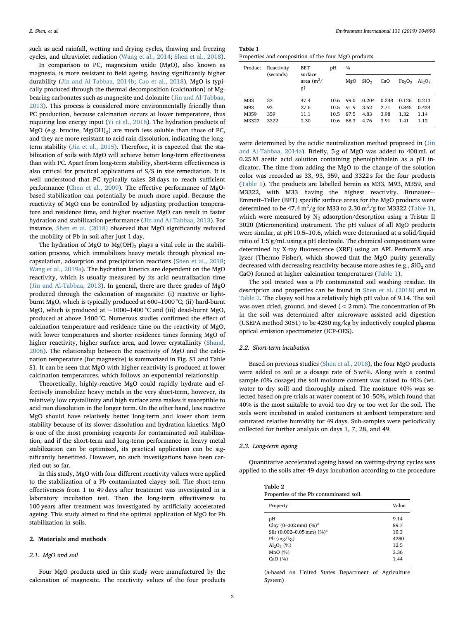such as acid rainfall, wetting and drying cycles, thawing and freezing cycles, and ultraviolet radiation ([Wang et al., 2014;](#page-6-6) [Shen et al., 2018](#page-6-7)).

In comparison to PC, magnesium oxide (MgO), also known as magnesia, is more resistant to field ageing, having significantly higher durability [\(Jin and Al-Tabbaa, 2014b](#page-5-7); [Cao et al., 2018](#page-5-8)). MgO is typically produced through the thermal decomposition (calcination) of Mgbearing carbonates such as magnesite and dolomite ([Jin and Al-Tabbaa,](#page-5-9) [2013\)](#page-5-9). This process is considered more environmentally friendly than PC production, because calcination occurs at lower temperature, thus requiring less energy input [\(Yi et al., 2016](#page-6-8)). The hydration products of MgO (e.g. brucite,  $Mg(OH)_{2}$ ) are much less soluble than those of PC, and they are more resistant to acid rain dissolution, indicating the longterm stability ([Jin et al., 2015\)](#page-5-10). Therefore, it is expected that the stabilization of soils with MgO will achieve better long-term effectiveness than with PC. Apart from long-term stability, short-term effectiveness is also critical for practical applications of S/S in site remediation. It is well understood that PC typically takes 28 days to reach sufficient performance [\(Chen et al., 2009](#page-5-11)). The effective performance of MgObased stabilization can potentially be much more rapid. Because the reactivity of MgO can be controlled by adjusting production temperature and residence time, and higher reactive MgO can result in faster hydration and stabilization performance ([Jin and Al-Tabbaa, 2013\)](#page-5-9). For instance, [Shen et al. \(2018\)](#page-6-7) observed that MgO significantly reduced the mobility of Pb in soil after just 1 day.

The hydration of MgO to  $Mg(OH)_2$  plays a vital role in the stabilization process, which immobilizes heavy metals through physical encapsulation, adsorption and precipitation reactions [\(Shen et al., 2018](#page-6-7); [Wang et al., 2019a](#page-6-9)). The hydration kinetics are dependent on the MgO reactivity, which is usually measured by its acid neutralization time ([Jin and Al-Tabbaa, 2013\)](#page-5-9). In general, there are three grades of MgO produced through the calcination of magnesite: (i) reactive or lightburnt MgO, which is typically produced at 600–1000 °C; (ii) hard-burnt MgO, which is produced at  $\sim$ 1000–1400 °C and (iii) dead-burnt MgO, produced at above 1400 °C. Numerous studies confirmed the effect of calcination temperature and residence time on the reactivity of MgO, with lower temperatures and shorter residence times forming MgO of higher reactivity, higher surface area, and lower crystallinity ([Shand,](#page-5-12) [2006\)](#page-5-12). The relationship between the reactivity of MgO and the calcination temperature (for magnesite) is summarized in Fig. S1 and Table S1. It can be seen that MgO with higher reactivity is produced at lower calcination temperatures, which follows an exponential relationship.

Theoretically, highly-reactive MgO could rapidly hydrate and effectively immobilize heavy metals in the very short-term, however, its relatively low crystallinity and high surface area makes it susceptible to acid rain dissolution in the longer term. On the other hand, less reactive MgO should have relatively better long-term and lower short term stability because of its slower dissolution and hydration kinetics. MgO is one of the most promising reagents for contaminated soil stabilization, and if the short-term and long-term performance in heavy metal stabilization can be optimized, its practical application can be significantly benefitted. However, no such investigations have been carried out so far.

In this study, MgO with four different reactivity values were applied to the stabilization of a Pb contaminated clayey soil. The short-term effectiveness from 1 to 49 days after treatment was investigated in a laboratory incubation test. Then the long-term effectiveness to 100 years after treatment was investigated by artificially accelerated ageing. This study aimed to find the optimal application of MgO for Pb stabilization in soils.

#### 2. Materials and methods

# 2.1. MgO and soil

Four MgO products used in this study were manufactured by the calcination of magnesite. The reactivity values of the four products

<span id="page-1-0"></span>Table 1 Properties and composition of the four MgO products.

| $\frac{0}{0}$ |  |  |  |  |  |
|---------------|--|--|--|--|--|
| $Al_2O_3$     |  |  |  |  |  |
| 0.213         |  |  |  |  |  |
| 0.434         |  |  |  |  |  |
| 1.14          |  |  |  |  |  |
| 1.12          |  |  |  |  |  |
|               |  |  |  |  |  |

were determined by the acidic neutralization method proposed in ([Jin](#page-5-13) [and Al-Tabbaa, 2014a\)](#page-5-13). Briefly, 5 g of MgO was added to 400 mL of 0.25 M acetic acid solution containing phenolphthalein as a pH indicator. The time from adding the MgO to the change of the solution color was recorded as 33, 93, 359, and 3322 s for the four products ([Table 1\)](#page-1-0). The products are labelled herein as M33, M93, M359, and M3322, with M33 having the highest reactivity. Brunauer–- Emmett–Teller (BET) specific surface areas for the MgO products were determined to be 47.4  $\text{m}^2/\text{g}$  for M33 to 2.30  $\text{m}^2/\text{g}$  for M3322 [\(Table 1](#page-1-0)), which were measured by  $N_2$  adsorption/desorption using a Tristar II 3020 (Micromeritics) instrument. The pH values of all MgO products were similar, at pH 10.5–10.6, which were determined at a solid/liquid ratio of 1:5 g/mL using a pH electrode. The chemical compositions were determined by X-ray fluorescence (XRF) using an APL PerformX analyzer (Thermo Fisher), which showed that the MgO purity generally decreased with decreasing reactivity because more ashes (e.g.,  $SiO<sub>2</sub>$  and CaO) formed at higher calcination temperatures [\(Table 1](#page-1-0)).

The soil treated was a Pb contaminated soil washing residue. Its description and properties can be found in [Shen et al. \(2018\)](#page-6-7) and in [Table 2.](#page-1-1) The clayey soil has a relatively high pH value of 9.14. The soil was oven dried, ground, and sieved (< 2 mm). The concentration of Pb in the soil was determined after microwave assisted acid digestion (USEPA method 3051) to be 4280 mg/kg by inductively coupled plasma optical emission spectrometer (ICP-OES).

# 2.2. Short-term incubation

Based on previous studies [\(Shen et al., 2018\)](#page-6-7), the four MgO products were added to soil at a dosage rate of 5 wt%. Along with a control sample (0% dosage) the soil moisture content was raised to 40% (wt. water to dry soil) and thoroughly mixed. The moisture 40% was selected based on pre-trials at water content of 10–50%, which found that 40% is the most suitable to avoid too dry or too wet for the soil. The soils were incubated in sealed containers at ambient temperature and saturated relative humidity for 49 days. Sub-samples were periodically collected for further analysis on days 1, 7, 28, and 49.

#### 2.3. Long-term ageing

Quantitative accelerated ageing based on wetting-drying cycles was applied to the soils after 49-days incubation according to the procedure

<span id="page-1-1"></span>

| Table 2                                 |
|-----------------------------------------|
| Properties of the Pb contaminated soil. |

| Property                           | Value |
|------------------------------------|-------|
| рH                                 | 9.14  |
| Clay $(0-002 \text{ mm})$ $(\%)^a$ | 89.7  |
| Silt $(0.002 - 0.05$ mm) $(\%)^a$  | 10.3  |
| $Pb$ (mg/kg)                       | 4280  |
| $Al_2O_3$ (%)                      | 12.5  |
| MnO(%)                             | 3.36  |
| CaO $(%)$                          | 1.44  |

(a-based on United States Department of Agriculture System)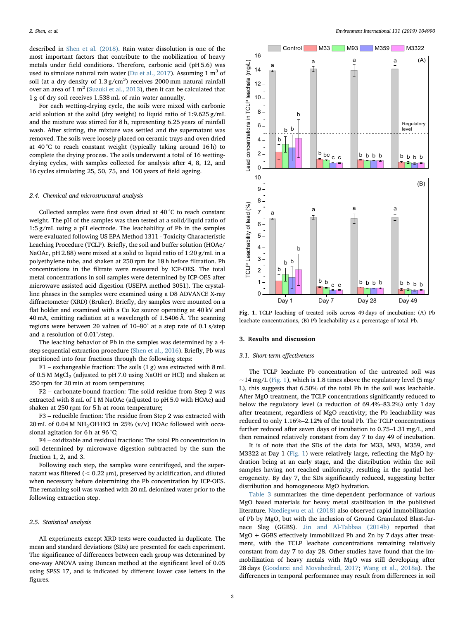described in [Shen et al. \(2018\).](#page-6-7) Rain water dissolution is one of the most important factors that contribute to the mobilization of heavy metals under field conditions. Therefore, carbonic acid (pH 5.6) was used to simulate natural rain water ([Du et al., 2017\)](#page-5-14). Assuming 1  $m<sup>3</sup>$  of soil (at a dry density of  $1.3 \text{ g/cm}^3$ ) receives  $2000 \text{ mm}$  natural rainfall over an area of  $1 \text{ m}^2$  [\(Suzuki et al., 2013](#page-6-10)), then it can be calculated that 1 g of dry soil receives 1.538 mL of rain water annually.

For each wetting-drying cycle, the soils were mixed with carbonic acid solution at the solid (dry weight) to liquid ratio of 1:9.625 g/mL and the mixture was stirred for 8 h, representing 6.25 years of rainfall wash. After stirring, the mixture was settled and the supernatant was removed. The soils were loosely placed on ceramic trays and oven dried at 40 °C to reach constant weight (typically taking around 16 h) to complete the drying process. The soils underwent a total of 16 wettingdrying cycles, with samples collected for analysis after 4, 8, 12, and 16 cycles simulating 25, 50, 75, and 100 years of field ageing.

#### 2.4. Chemical and microstructural analysis

Collected samples were first oven dried at 40 °C to reach constant weight. The pH of the samples was then tested at a solid/liquid ratio of 1:5 g/mL using a pH electrode. The leachability of Pb in the samples were evaluated following US EPA Method 1311 - Toxicity Characteristic Leaching Procedure (TCLP). Briefly, the soil and buffer solution (HOAc/ NaOAc, pH 2.88) were mixed at a solid to liquid ratio of 1:20 g/mL in a polyethylene tube, and shaken at 250 rpm for 18 h before filtration. Pb concentrations in the filtrate were measured by ICP-OES. The total metal concentrations in soil samples were determined by ICP-OES after microwave assisted acid digestion (USEPA method 3051). The crystalline phases in the samples were examined using a D8 ADVANCE X-ray diffractometer (XRD) (Bruker). Briefly, dry samples were mounted on a flat holder and examined with a Cu Kα source operating at 40 kV and 40 mA, emitting radiation at a wavelength of 1.5406 Å. The scanning regions were between 2θ values of 10–80° at a step rate of 0.1 s/step and a resolution of 0.01°/step.

The leaching behavior of Pb in the samples was determined by a 4 step sequential extraction procedure [\(Shen et al., 2016](#page-5-15)). Briefly, Pb was partitioned into four fractions through the following steps:

 $F1$  – exchangeable fraction: The soils  $(1 g)$  was extracted with 8 mL of 0.5 M  $MgCl<sub>2</sub>$  (adjusted to pH 7.0 using NaOH or HCl) and shaken at 250 rpm for 20 min at room temperature;

F2 – carbonate-bound fraction: The solid residue from Step 2 was extracted with 8 mL of 1 M NaOAc (adjusted to pH 5.0 with HOAc) and shaken at 250 rpm for 5 h at room temperature;

F3 – reducible fraction: The residue from Step 2 was extracted with 20 mL of  $0.04$  M NH<sub>2</sub>·OH·HCl in 25% (v/v) HOAc followed with occasional agitation for 6 h at 96 °C;

F4 – oxidizable and residual fractions: The total Pb concentration in soil determined by microwave digestion subtracted by the sum the fraction 1, 2, and 3.

Following each step, the samples were centrifuged, and the supernatant was filtered (< 0.22 μm), preserved by acidification, and diluted when necessary before determining the Pb concentration by ICP-OES. The remaining soil was washed with 20 mL deionized water prior to the following extraction step.

# 2.5. Statistical analysis

All experiments except XRD tests were conducted in duplicate. The mean and standard deviations (SDs) are presented for each experiment. The significance of differences between each group was determined by one-way ANOVA using Duncan method at the significant level of 0.05 using SPSS 17, and is indicated by different lower case letters in the figures.

<span id="page-2-0"></span>

Fig. 1. TCLP leaching of treated soils across 49 days of incubation: (A) Pb leachate concentrations, (B) Pb leachability as a percentage of total Pb.

# 3. Results and discussion

# 3.1. Short-term effectiveness

The TCLP leachate Pb concentration of the untreated soil was  $\sim$ 14 mg/L ([Fig. 1\)](#page-2-0), which is 1.8 times above the regulatory level (5 mg/ L), this suggests that 6.50% of the total Pb in the soil was leachable. After MgO treatment, the TCLP concentrations significantly reduced to below the regulatory level (a reduction of 69.4%–83.2%) only 1 day after treatment, regardless of MgO reactivity; the Pb leachability was reduced to only 1.16%–2.12% of the total Pb. The TCLP concentrations further reduced after seven days of incubation to 0.75–1.31 mg/L, and then remained relatively constant from day 7 to day 49 of incubation.

It is of note that the SDs of the data for M33, M93, M359, and M3322 at Day 1 ([Fig. 1](#page-2-0)) were relatively large, reflecting the MgO hydration being at an early stage, and the distribution within the soil samples having not reached uniformity, resulting in the spatial heterogeneity. By day 7, the SDs significantly reduced, suggesting better distribution and homogeneous MgO hydration.

[Table 3](#page-3-0) summarizes the time-dependent performance of various MgO based materials for heavy metal stabilization in the published literature. [Nzediegwu et al. \(2018\)](#page-5-16) also observed rapid immobilization of Pb by MgO, but with the inclusion of Ground Granulated Blast-furnace Slag (GGBS). [Jin and Al-Tabbaa \(2014b\)](#page-5-7) reported that MgO + GGBS effectively immobilized Pb and Zn by 7 days after treatment, with the TCLP leachate concentrations remaining relatively constant from day 7 to day 28. Other studies have found that the immobilization of heavy metals with MgO was still developing after 28 days ([Goodarzi and Movahedrad, 2017;](#page-5-17) [Wang et al., 2018a\)](#page-6-11). The differences in temporal performance may result from differences in soil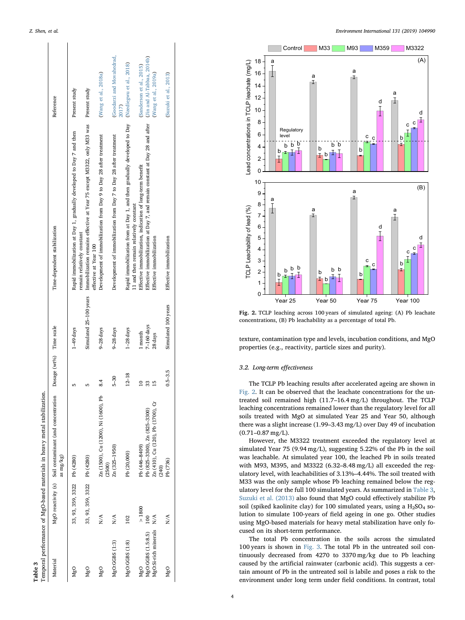$\overline{1}$ 

Table 3

<span id="page-3-0"></span>

|                      |                             | Temporal performance of MgO-based materials in heavy metal stabilization. |                         |                        |                                                                                                                   |                                    |
|----------------------|-----------------------------|---------------------------------------------------------------------------|-------------------------|------------------------|-------------------------------------------------------------------------------------------------------------------|------------------------------------|
| Material             |                             | MgO reactivity (s) Soil contaminant (and concentration<br>as mg/kg)       | Dosage (wt%) Time scale |                        | Time-dependent stabilization                                                                                      | Reference                          |
| M <sub>g</sub> O     | 33, 93, 359, 3322 Pb (4280) |                                                                           |                         | $1-49$ days            | Rapid immobilization at Day 1, gradually developed to Day 7 and then<br>remain relatively constant                | Present study                      |
| MgO                  | 33, 93, 359, 3322 Pb (4280) |                                                                           |                         | Simulated 25-100 years | Immobilization remains effective at Year 75 except M3322, only M33 was Present study<br>effective at Year 100     |                                    |
| MgO                  | N/A                         | Zn (1500), Cu (1200), Ni (1600), Pb<br>(2500)                             | $\frac{4}{3}$           | 9-28 days              | Development of immobilization from Day 9 to Day 28 after treatment                                                | (Wang et al., 2018a)               |
| MgO:GGBS (1:3)       | N/A                         | Zn (325-1950)                                                             | $5-30$                  | 9-28 days              | Development of immobilization from Day 7 to Day 28 after treatment                                                | (Goodarzi and Movahedrad,<br>2017) |
| MgO:GGBS (1:8)       | 102                         | Pb (20,000)                                                               | $12 - 18$               | $1-28$ days            | Rapid immobilization from at Day 1, and then gradually developed to Day<br>11 and then remain relatively constant | (Nzediegwu et al., 2018)           |
| MgO                  | > 1800                      | Pb (446-8409)                                                             |                         | 1 month                | Effective immobilization, indication of long-term benefit                                                         | (Sanderson et al., 2015)           |
| MgO:GGBS (1.5:8.5)   |                             | Pb (825-3300), Zn (825-3300)                                              | 33                      | $7-160$ days           | Effective immobilization at Day 7, and remain constant at Day 28 and after                                        | (Jin and Al-Tabbaa, 2014b)         |
| MgO:Si-rich minerals | N/A                         | Zn (410), Cu (120), Pb (1700), Cr<br>(240)                                | $\overline{15}$         | 28 days                | Effective immobilization                                                                                          | (Wang et al., 2019a)               |
| $Mg$ O               | N/A                         | Pb (736)                                                                  | $0.5 - 3.5$             | Simulated 100 years    | Effective immobilization                                                                                          | (Suzuki et al., 2013)              |
|                      |                             |                                                                           |                         |                        |                                                                                                                   |                                    |

<span id="page-3-1"></span>

Fig. 2. TCLP leaching across 100 years of simulated ageing: (A) Pb leachate concentrations, (B) Pb leachability as a percentage of total Pb.

texture, contamination type and levels, incubation conditions, and MgO properties (e.g., reactivity, particle sizes and purity).

# 3.2. Long-term effectiveness

The TCLP Pb leaching results after accelerated ageing are shown in [Fig. 2](#page-3-1). It can be observed that the leachate concentrations for the untreated soil remained high (11.7–16.4 mg/L) throughout. The TCLP leaching concentrations remained lower than the regulatory level for all soils treated with MgO at simulated Year 25 and Year 50, although there was a slight increase (1.99 –3.43 mg/L) over Day 49 of incubation (0.71 –0.87 mg/L).

However, the M3322 treatment exceeded the regulatory level at simulated Year 75 (9.94 mg/L), suggesting 5.22% of the Pb in the soil was leachable. At simulated year 100, the leached Pb in soils treated with M93, M395, and M3322 (6.32 –8.48 mg/L) all exceeded the regulatory level, with leachabilities of 3.13%–4.44%. The soil treated with M33 was the only sample whose Pb leaching remained below the regulatory level for the full 100 simulated years. As summarized in [Table 3](#page-3-0), [Suzuki et al. \(2013\)](#page-6-10) also found that MgO could e ffectively stabilize Pb soil (spiked kaolinite clay) for 100 simulated years, using a  $H_2SO_4$  solution to simulate 100-years of field ageing in one go. Other studies using MgO-based materials for heavy metal stabilization have only focused on its short-term performance.

The total Pb concentration in the soils across the simulated 100 years is shown in [Fig. 3](#page-4-0). The total Pb in the untreated soil continuously decreased from 4270 to 3370 mg/kg due to Pb leaching caused by the arti ficial rainwater (carbonic acid). This suggests a certain amount of Pb in the untreated soil is labile and poses a risk to the environment under long term under field conditions. In contrast, total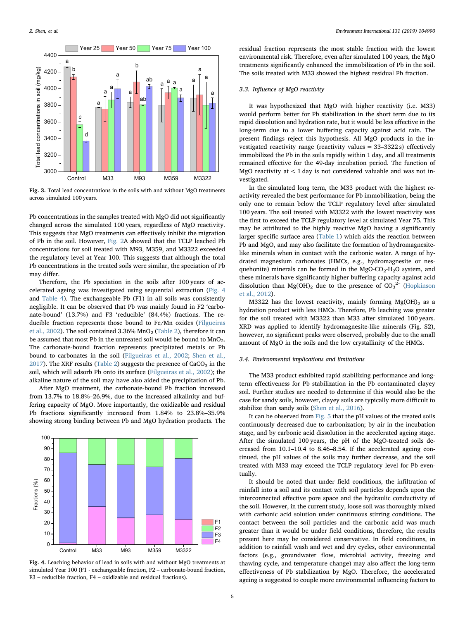<span id="page-4-0"></span>

Fig. 3. Total lead concentrations in the soils with and without MgO treatments across simulated 100 years.

Pb concentrations in the samples treated with MgO did not significantly changed across the simulated 100 years, regardless of MgO reactivity. This suggests that MgO treatments can effectively inhibit the migration of Pb in the soil. However, [Fig. 2A](#page-3-1) showed that the TCLP leached Pb concentrations for soil treated with M93, M359, and M3322 exceeded the regulatory level at Year 100. This suggests that although the total Pb concentrations in the treated soils were similar, the speciation of Pb may differ.

Therefore, the Pb speciation in the soils after 100 years of accelerated ageing was investigated using sequential extraction [\(Fig. 4](#page-4-1) and [Table 4\)](#page-5-19). The exchangeable Pb (F1) in all soils was consistently negligible. It can be observed that Pb was mainly found in F2 'carbonate-bound' (13.7%) and F3 'reducible' (84.4%) fractions. The reducible fraction represents those bound to Fe/Mn oxides [\(Filgueiras](#page-5-20) [et al., 2002](#page-5-20)). The soil contained  $3.36\%$  MnO<sub>2</sub> [\(Table 2\)](#page-1-1), therefore it can be assumed that most Pb in the untreated soil would be bound to  $MnO<sub>2</sub>$ . The carbonate-bound fraction represents precipitated metals or Pb bound to carbonates in the soil [\(Filgueiras et al., 2002;](#page-5-20) [Shen et al.,](#page-5-21) [2017\)](#page-5-21). The XRF results ([Table 2](#page-1-1)) suggests the presence of  $CaCO<sub>3</sub>$  in the soil, which will adsorb Pb onto its surface [\(Filgueiras et al., 2002\)](#page-5-20); the alkaline nature of the soil may have also aided the precipitation of Pb.

After MgO treatment, the carbonate-bound Pb fraction increased from 13.7% to 18.8%–26.9%, due to the increased alkalinity and buffering capacity of MgO. More importantly, the oxidizable and residual Pb fractions significantly increased from 1.84% to 23.8%–35.9% showing strong binding between Pb and MgO hydration products. The

<span id="page-4-1"></span>

Fig. 4. Leaching behavior of lead in soils with and without MgO treatments at simulated Year 100 (F1 - exchangeable fraction, F2 – carbonate-bound fraction, F3 – reducible fraction, F4 – oxidizable and residual fractions).

residual fraction represents the most stable fraction with the lowest environmental risk. Therefore, even after simulated 100 years, the MgO treatments significantly enhanced the immobilization of Pb in the soil. The soils treated with M33 showed the highest residual Pb fraction.

### 3.3. Influence of MgO reactivity

It was hypothesized that MgO with higher reactivity (i.e. M33) would perform better for Pb stabilization in the short term due to its rapid dissolution and hydration rate, but it would be less effective in the long-term due to a lower buffering capacity against acid rain. The present findings reject this hypothesis. All MgO products in the investigated reactivity range (reactivity values = 33–3322 s) effectively immobilized the Pb in the soils rapidly within 1 day, and all treatments remained effective for the 49-day incubation period. The function of MgO reactivity at  $< 1$  day is not considered valuable and was not investigated.

In the simulated long term, the M33 product with the highest reactivity revealed the best performance for Pb immobilization, being the only one to remain below the TCLP regulatory level after simulated 100 years. The soil treated with M3322 with the lowest reactivity was the first to exceed the TCLP regulatory level at simulated Year 75. This may be attributed to the highly reactive MgO having a significantly larger specific surface area [\(Table 1](#page-1-0)) which aids the reaction between Pb and MgO, and may also facilitate the formation of hydromagnesitelike minerals when in contact with the carbonic water. A range of hydrated magnesium carbonates (HMCs, e.g., hydromagnesite or nesquehonite) minerals can be formed in the MgO-CO<sub>2</sub>-H<sub>2</sub>O system, and these minerals have significantly higher buffering capacity against acid dissolution than Mg(OH)<sub>2</sub> due to the presence of  $CO_3^2$ <sup>-</sup> ([Hopkinson](#page-5-22) [et al., 2012](#page-5-22)).

M3322 has the lowest reactivity, mainly forming  $Mg(OH)_2$  as a hydration product with less HMCs. Therefore, Pb leaching was greater for the soil treated with M3322 than M33 after simulated 100 years. XRD was applied to identify hydromagnesite-like minerals (Fig. S2), however, no significant peaks were observed, probably due to the small amount of MgO in the soils and the low crystallinity of the HMCs.

# 3.4. Environmental implications and limitations

The M33 product exhibited rapid stabilizing performance and longterm effectiveness for Pb stabilization in the Pb contaminated clayey soil. Further studies are needed to determine if this would also be the case for sandy soils, however, clayey soils are typically more difficult to stabilize than sandy soils [\(Shen et al., 2016\)](#page-5-15).

It can be observed from [Fig. 5](#page-5-23) that the pH values of the treated soils continuously decreased due to carbonization; by air in the incubation stage, and by carbonic acid dissolution in the accelerated ageing stage. After the simulated 100 years, the pH of the MgO-treated soils decreased from 10.1–10.4 to 8.46–8.54. If the accelerated ageing continued, the pH values of the soils may further decrease, and the soil treated with M33 may exceed the TCLP regulatory level for Pb eventually.

It should be noted that under field conditions, the infiltration of rainfall into a soil and its contact with soil particles depends upon the interconnected effective pore space and the hydraulic conductivity of the soil. However, in the current study, loose soil was thoroughly mixed with carbonic acid solution under continuous stirring conditions. The contact between the soil particles and the carbonic acid was much greater than it would be under field conditions, therefore, the results present here may be considered conservative. In field conditions, in addition to rainfall wash and wet and dry cycles, other environmental factors (e.g., groundwater flow, microbial activity, freezing and thawing cycle, and temperature change) may also affect the long-term effectiveness of Pb stabilization by MgO. Therefore, the accelerated ageing is suggested to couple more environmental influencing factors to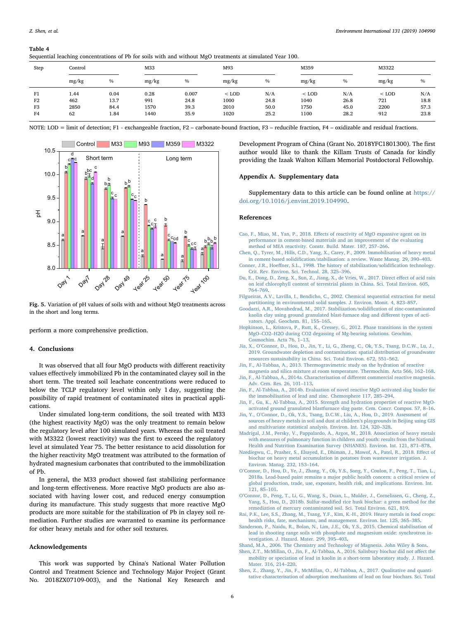# <span id="page-5-19"></span>Table 4

|  |  |  |  | Sequential leaching concentrations of Pb for soils with and without MgO treatments at simulated Year 100. |
|--|--|--|--|-----------------------------------------------------------------------------------------------------------|
|--|--|--|--|-----------------------------------------------------------------------------------------------------------|

|      | ັ       |      |       | $\overline{\phantom{a}}$ |         |      |         |      |         |       |  |
|------|---------|------|-------|--------------------------|---------|------|---------|------|---------|-------|--|
| Step | Control |      | M33   |                          |         | M93  |         | M359 |         | M3322 |  |
|      | mg/kg   | $\%$ | mg/kg | $\%$                     | mg/kg   | $\%$ | mg/kg   | $\%$ | mg/kg   | $\%$  |  |
| F1   | 1.44    | 0.04 | 0.28  | 0.007                    | $<$ LOD | N/A  | $<$ LOD | N/A  | $<$ LOD | N/A   |  |
| F2   | 462     | 13.7 | 991   | 24.8                     | 1000    | 24.8 | 1040    | 26.8 | 721     | 18.8  |  |
| F3   | 2850    | 84.4 | 1570  | 39.3                     | 2010    | 50.0 | 1750    | 45.0 | 2200    | 57.3  |  |
| F4   | 62      | 1.84 | 1440  | 35.9                     | 1020    | 25.2 | 1100    | 28.2 | 912     | 23.8  |  |

NOTE: LOD = limit of detection; F1 - exchangeable fraction, F2 – carbonate-bound fraction, F3 – reducible fraction, F4 – oxidizable and residual fractions.

<span id="page-5-23"></span>

Fig. 5. Variation of pH values of soils with and without MgO treatments across in the short and long terms.

perform a more comprehensive prediction.

# 4. Conclusions

It was observed that all four MgO products with different reactivity values effectively immobilized Pb in the contaminated clayey soil in the short term. The treated soil leachate concentrations were reduced to below the TCLP regulatory level within only 1 day, suggesting the possibility of rapid treatment of contaminated sites in practical applications.

Under simulated long-term conditions, the soil treated with M33 (the highest reactivity MgO) was the only treatment to remain below the regulatory level after 100 simulated years. Whereas the soil treated with M3322 (lowest reactivity) was the first to exceed the regulatory level at simulated Year 75. The better resistance to acid dissolution for the higher reactivity MgO treatment was attributed to the formation of hydrated magnesium carbonates that contributed to the immobilization of Pb.

In general, the M33 product showed fast stabilizing performance and long-term effectiveness. More reactive MgO products are also associated with having lower cost, and reduced energy consumption during its manufacture. This study suggests that more reactive MgO products are more suitable for the stabilization of Pb in clayey soil remediation. Further studies are warranted to examine its performance for other heavy metals and for other soil textures.

# Acknowledgements

This work was supported by China's National Water Pollution Control and Treatment Science and Technology Major Project (Grant No. 2018ZX07109-003), and the National Key Research and

Development Program of China (Grant No. 2018YFC1801300). The first author would like to thank the Killam Trusts of Canada for kindly providing the Izaak Walton Killam Memorial Postdoctoral Fellowship.

#### Appendix A. Supplementary data

Supplementary data to this article can be found online at [https://](https://doi.org/10.1016/j.envint.2019.104990) [doi.org/10.1016/j.envint.2019.104990.](https://doi.org/10.1016/j.envint.2019.104990)

#### References

- <span id="page-5-8"></span>Cao, F., Miao, M., Yan, P., 2018. Eff[ects of reactivity of MgO expansive agent on its](http://refhub.elsevier.com/S0160-4120(19)31257-7/rf0010) [performance in cement-based materials and an improvement of the evaluating](http://refhub.elsevier.com/S0160-4120(19)31257-7/rf0010) [method of MEA reactivity. Constr. Build. Mater. 187, 257](http://refhub.elsevier.com/S0160-4120(19)31257-7/rf0010)–266.
- <span id="page-5-11"></span>[Chen, Q., Tyrer, M., Hills, C.D., Yang, X., Carey, P., 2009. Immobilisation of heavy metal](http://refhub.elsevier.com/S0160-4120(19)31257-7/rf0015) in cement-based solidifi[cation/stabilisation: a review. Waste Manag. 29, 390](http://refhub.elsevier.com/S0160-4120(19)31257-7/rf0015)–403.
- <span id="page-5-6"></span>Conner, J.R., Hoeff[ner, S.L., 1998. The history of stabilization/solidi](http://refhub.elsevier.com/S0160-4120(19)31257-7/rf0020)fication technology. [Crit. Rev. Environ. Sci. Technol. 28, 325](http://refhub.elsevier.com/S0160-4120(19)31257-7/rf0020)–396.
- <span id="page-5-14"></span>[Du, E., Dong, D., Zeng, X., Sun, Z., Jiang, X., de Vries, W., 2017. Direct e](http://refhub.elsevier.com/S0160-4120(19)31257-7/rf0030)ffect of acid rain [on leaf chlorophyll content of terrestrial plants in China. Sci. Total Environ. 605,](http://refhub.elsevier.com/S0160-4120(19)31257-7/rf0030) 764–[769](http://refhub.elsevier.com/S0160-4120(19)31257-7/rf0030).
- <span id="page-5-20"></span>[Filgueiras, A.V., Lavilla, I., Bendicho, C., 2002. Chemical sequential extraction for metal](http://refhub.elsevier.com/S0160-4120(19)31257-7/rf0035) [partitioning in environmental solid samples. J. Environ. Monit. 4, 823](http://refhub.elsevier.com/S0160-4120(19)31257-7/rf0035)–857.
- <span id="page-5-17"></span>[Goodarzi, A.R., Movahedrad, M., 2017. Stabilization/solidi](http://refhub.elsevier.com/S0160-4120(19)31257-7/rf0040)fication of zinc-contaminated [kaolin clay using ground granulated blast-furnace slag and di](http://refhub.elsevier.com/S0160-4120(19)31257-7/rf0040)fferent types of acti[vators. Appl. Geochem. 81, 155](http://refhub.elsevier.com/S0160-4120(19)31257-7/rf0040)–165.
- <span id="page-5-22"></span>[Hopkinson, L., Kristova, P., Rutt, K., Cressey, G., 2012. Phase transitions in the system](http://refhub.elsevier.com/S0160-4120(19)31257-7/rf0045) MgO–CO2–[H2O during CO2 degassing of Mg-bearing solutions. Geochim.](http://refhub.elsevier.com/S0160-4120(19)31257-7/rf0045) [Cosmochim. Acta 76, 1](http://refhub.elsevier.com/S0160-4120(19)31257-7/rf0045)–13.
- <span id="page-5-0"></span>Jia, X., O'[Connor, D., Hou, D., Jin, Y., Li, G., Zheng, C., Ok, Y.S., Tsang, D.C.W., Lu, J.,](http://refhub.elsevier.com/S0160-4120(19)31257-7/rf0050) [2019. Groundwater depletion and contamination: spatial distribution of groundwater](http://refhub.elsevier.com/S0160-4120(19)31257-7/rf0050) [resources sustainability in China. Sci. Total Environ. 672, 551](http://refhub.elsevier.com/S0160-4120(19)31257-7/rf0050)–562.
- <span id="page-5-9"></span>[Jin, F., Al-Tabbaa, A., 2013. Thermogravimetric study on the hydration of reactive](http://refhub.elsevier.com/S0160-4120(19)31257-7/rf0055) [magnesia and silica mixture at room temperature. Thermochim. Acta 566, 162](http://refhub.elsevier.com/S0160-4120(19)31257-7/rf0055)–168.
- <span id="page-5-13"></span>[Jin, F., Al-Tabbaa, A., 2014a. Characterisation of di](http://refhub.elsevier.com/S0160-4120(19)31257-7/rf0060)fferent commercial reactive magnesia. [Adv. Cem. Res. 26, 101](http://refhub.elsevier.com/S0160-4120(19)31257-7/rf0060)–113.
- <span id="page-5-7"></span>[Jin, F., Al-Tabbaa, A., 2014b. Evaluation of novel reactive MgO activated slag binder for](http://refhub.elsevier.com/S0160-4120(19)31257-7/rf0065) [the immobilisation of lead and zinc. Chemosphere 117, 285](http://refhub.elsevier.com/S0160-4120(19)31257-7/rf0065)–294.
- <span id="page-5-10"></span>[Jin, F., Gu, K., Al-Tabbaa, A., 2015. Strength and hydration properties of reactive MgO](http://refhub.elsevier.com/S0160-4120(19)31257-7/rf0070)[activated ground granulated blastfurnace slag paste. Cem. Concr. Compos. 57, 8](http://refhub.elsevier.com/S0160-4120(19)31257-7/rf0070)–16.
- <span id="page-5-5"></span>Jin, Y., O'[Connor, D., Ok, Y.S., Tsang, D.C.W., Liu, A., Hou, D., 2019. Assessment of](http://refhub.elsevier.com/S0160-4120(19)31257-7/rf0075) [sources of heavy metals in soil and dust at children](http://refhub.elsevier.com/S0160-4120(19)31257-7/rf0075)'s playgrounds in Beijing using GIS [and multivariate statistical analysis. Environ. Int. 124, 320](http://refhub.elsevier.com/S0160-4120(19)31257-7/rf0075)–328.
- <span id="page-5-3"></span>[Madrigal, J.M., Persky, V., Pappalardo, A., Argos, M., 2018. Association of heavy metals](http://refhub.elsevier.com/S0160-4120(19)31257-7/rf0080) [with measures of pulmonary function in children and youth: results from the National](http://refhub.elsevier.com/S0160-4120(19)31257-7/rf0080) [Health and Nutrition Examination Survey \(NHANES\). Environ. Int. 121, 871](http://refhub.elsevier.com/S0160-4120(19)31257-7/rf0080)–878.
- <span id="page-5-16"></span>Nzediegwu, [C., Prasher, S., Elsayed, E., Dhiman, J., Mawof, A., Patel, R., 2018. E](http://refhub.elsevier.com/S0160-4120(19)31257-7/rf0090)ffect of [biochar on heavy metal accumulation in potatoes from wastewater irrigation. J.](http://refhub.elsevier.com/S0160-4120(19)31257-7/rf0090) [Environ. Manag. 232, 153](http://refhub.elsevier.com/S0160-4120(19)31257-7/rf0090)–164.
- <span id="page-5-4"></span>O'[Connor, D., Hou, D., Ye, J., Zhang, Y., Ok, Y.S., Song, Y., Coulon, F., Peng, T., Tian, L.,](http://refhub.elsevier.com/S0160-4120(19)31257-7/rf0095) [2018a. Lead-based paint remains a major public health concern: a critical review of](http://refhub.elsevier.com/S0160-4120(19)31257-7/rf0095) [global production, trade, use, exposure, health risk, and implications. Environ. Int.](http://refhub.elsevier.com/S0160-4120(19)31257-7/rf0095) [121, 85](http://refhub.elsevier.com/S0160-4120(19)31257-7/rf0095)–101.
- <span id="page-5-2"></span>O'[Connor, D., Peng, T., Li, G., Wang, S., Duan, L., Mulder, J., Cornelissen, G., Cheng, Z.,](http://refhub.elsevier.com/S0160-4120(19)31257-7/rf0100) Yang, S., Hou, D., 2018b. Sulfur-modifi[ed rice husk biochar: a green method for the](http://refhub.elsevier.com/S0160-4120(19)31257-7/rf0100) [remediation of mercury contaminated soil. Sci. Total Environ. 621, 819.](http://refhub.elsevier.com/S0160-4120(19)31257-7/rf0100)
- <span id="page-5-1"></span>[Rai, P.K., Lee, S.S., Zhang, M., Tsang, Y.F., Kim, K.-H., 2019. Heavy metals in food crops:](http://refhub.elsevier.com/S0160-4120(19)31257-7/rf0105) [health risks, fate, mechanisms, and management. Environ. Int. 125, 365](http://refhub.elsevier.com/S0160-4120(19)31257-7/rf0105)–385.
- <span id="page-5-18"></span>[Sanderson, P., Naidu, R., Bolan, N., Lim, J.E., Ok, Y.S., 2015. Chemical stabilisation of](http://refhub.elsevier.com/S0160-4120(19)31257-7/rf0110) [lead in shooting range soils with phosphate and magnesium oxide: synchrotron in](http://refhub.elsevier.com/S0160-4120(19)31257-7/rf0110)[vestigation. J. Hazard. Mater. 299, 395](http://refhub.elsevier.com/S0160-4120(19)31257-7/rf0110)–403.
- <span id="page-5-12"></span>[Shand, M.A., 2006. The Chemistry and Technology of Magnesia. John Wiley & Sons.](http://refhub.elsevier.com/S0160-4120(19)31257-7/rf0115)
- <span id="page-5-15"></span>[Shen, Z.T., McMillan, O., Jin, F., Al-Tabbaa, A., 2016. Salisbury biochar did not a](http://refhub.elsevier.com/S0160-4120(19)31257-7/rf0120)ffect the [mobility or speciation of lead in kaolin in a short-term laboratory study. J. Hazard.](http://refhub.elsevier.com/S0160-4120(19)31257-7/rf0120) [Mater. 316, 214](http://refhub.elsevier.com/S0160-4120(19)31257-7/rf0120)–220.
- <span id="page-5-21"></span>[Shen, Z., Zhang, Y., Jin, F., McMillan, O., Al-Tabbaa, A., 2017. Qualitative and quanti](http://refhub.elsevier.com/S0160-4120(19)31257-7/rf0125)[tative characterisation of adsorption mechanisms of lead on four biochars. Sci. Total](http://refhub.elsevier.com/S0160-4120(19)31257-7/rf0125)